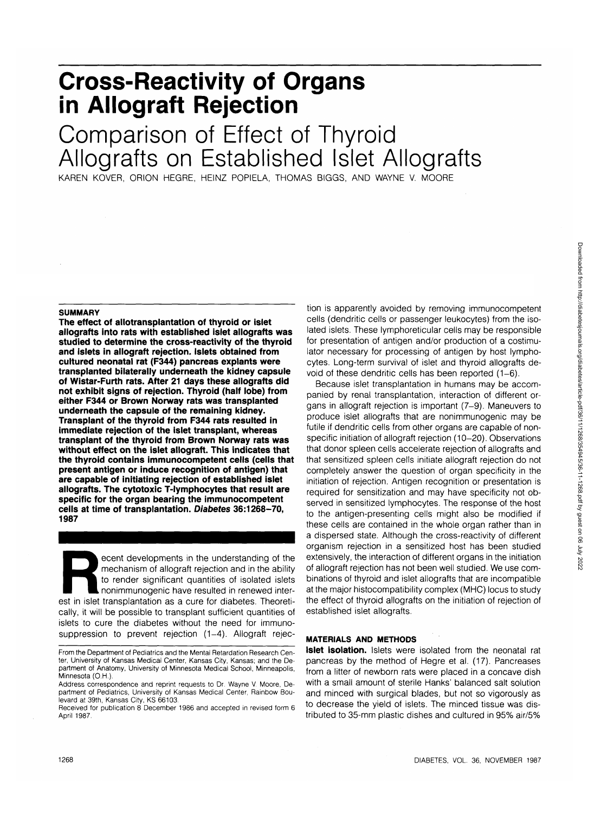## **Cross-Reactivity of Organs in Allograft Rejection**

# Comparison of Effect of Thyroid Allografts on Established Islet Allografts

KAREN KOVER, ORION HEGRE, HEINZ POPIELA, THOMAS BIGGS, AND WAYNE V. MOORE

#### **SUMMARY**

**The effect of allotransplantation of thyroid or islet allografts into rats with established islet allografts was studied to determine the cross-reactivity of the thyroid and islets in allograft rejection. Islets obtained from cultured neonatal rat (F344) pancreas explants were transplanted bilaterally underneath the kidney capsule of Wistar-Furth rats. After 21 days these allografts did not exhibit signs of rejection. Thyroid (half lobe) from either F344 or Brown Norway rats was transplanted underneath the capsule of the remaining kidney. Transplant of the thyroid from F344 rats resulted in immediate rejection of the islet transplant, whereas transplant of the thyroid from Brown Norway rats was without effect on the islet allograft. This indicates that the thyroid contains immunocompetent cells (cells that present antigen or induce recognition of antigen) that are capable of initiating rejection of established islet allografts. The cytotoxic T-lymphocytes that result are specific for the organ bearing the immunocompetent cells at time of transplantation. Diabetes 36:1268-70, 1987**

ecent developments in the understanding of the<br>
mechanism of allograft rejection and in the ability<br>
to render significant quantities of isolated islets<br>
nonimmunogenic have resulted in renewed inter-<br>
est in islet transpl mechanism of allograft rejection and in the ability to render significant quantities of isolated islets nonimmunogenic have resulted in renewed intercally, it will be possible to transplant sufficient quantities of islets to cure the diabetes without the need for immunosuppression to prevent rejection (1-4). Allograft rejec-

tion is apparently avoided by removing immunocompetent cells (dendritic cells or passenger leukocytes) from the isolated islets. These lymphoreticular cells may be responsible for presentation of antigen and/or production of a costimulator necessary for processing of antigen by host lymphocytes. Long-term survival of islet and thyroid allografts devoid of these dendritic cells has been reported (1-6).

Because islet transplantation in humans may be accompanied by renal transplantation, interaction of different organs in allograft rejection is important (7-9). Maneuvers to produce islet allografts that are nonimmunogenic may be futile if dendritic cells from other organs are capable of nonspecific initiation of allograft rejection (10-20). Observations that donor spleen cells accelerate rejection of allografts and that sensitized spleen cells initiate allograft rejection do not completely answer the question of organ specificity in the initiation of rejection. Antigen recognition or presentation is required for sensitization and may have specificity not observed in sensitized lymphocytes. The response of the host to the antigen-presenting cells might also be modified if these cells are contained in the whole organ rather than in a dispersed state. Although the cross-reactivity of different organism rejection in a sensitized host has been studied extensively, the interaction of different organs in the initiation of allograft rejection has not been well studied. We use combinations of thyroid and islet allografts that are incompatible at the major histocompatibility complex (MHC) locus to study the effect of thyroid allografts on the initiation of rejection of established islet allografts.

### **MATERIALS AND METHODS**

**Islet isolation.** Islets were isolated from the neonatal rat pancreas by the method of Hegre et al. (17). Pancreases from a litter of newborn rats were placed in a concave dish with a small amount of sterile Hanks' balanced salt solution and minced with surgical blades, but not so vigorously as to decrease the yield of islets. The minced tissue was distributed to 35-mm plastic dishes and cultured in 95% air/5%

From the Department of Pediatrics and the Mental Retardation Research Center, University of Kansas Medical Center, Kansas City, Kansas; and the Department of Anatomy, University of Minnesota Medical School, Minneapolis, Minnesota (O.H.).

Address correspondence and reprint requests to Dr. Wayne V. Moore, Department of Pediatrics, University of Kansas Medical Center, Rainbow Boulevard at 39th, Kansas City, KS 66103.

Received for publication 8 December 1986 and accepted in revised form 6 April 1987.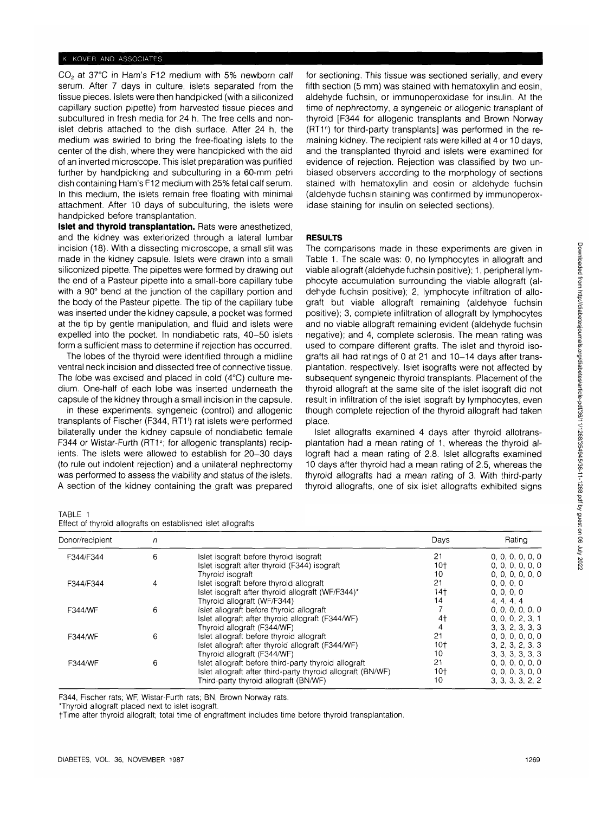## K KOVER AND ASSOCIATES

 $CO<sub>2</sub>$  at 37°C in Ham's F12 medium with 5% newborn calf serum. After 7 days in culture, islets separated from the tissue pieces. Islets were then handpicked (with a siliconized capillary suction pipette) from harvested tissue pieces and subcultured in fresh media for 24 h. The free cells and nonislet debris attached to the dish surface. After 24 h, the medium was swirled to bring the free-floating islets to the center of the dish, where they were handpicked with the aid of an inverted microscope. This islet preparation was purified further by handpicking and subculturing in a 60-mm petri dish containing Ham's F12 medium with 25% fetal calf serum. In this medium, the islets remain free floating with minimal attachment. After 10 days of subculturing, the islets were handpicked before transplantation.

**Islet and thyroid transplantation.** Rats were anesthetized, and the kidney was exteriorized through a lateral lumbar incision (18). With a dissecting microscope, a small slit was made in the kidney capsule. Islets were drawn into a small siliconized pipette. The pipettes were formed by drawing out the end of a Pasteur pipette into a small-bore capillary tube with a 90° bend at the junction of the capillary portion and the body of the Pasteur pipette. The tip of the capillary tube was inserted under the kidney capsule, a pocket was formed at the tip by gentle manipulation, and fluid and islets were expelled into the pocket. In nondiabetic rats, 40-50 islets form a sufficient mass to determine if rejection has occurred.

The lobes of the thyroid were identified through a midline ventral neck incision and dissected free of connective tissue. The lobe was excised and placed in cold (4°C) culture medium. One-half of each lobe was inserted underneath the capsule of the kidney through a small incision in the capsule.

In these experiments, syngeneic (control) and allogenic transplants of Fischer (F344, RT1') rat islets were performed bilaterally under the kidney capsule of nondiabetic female F344 or Wistar-Furth (RT1<sup>u</sup>; for allogenic transplants) recipients. The islets were allowed to establish for 20-30 days (to rule out indolent rejection) and a unilateral nephrectomy was performed to assess the viability and status of the islets. A section of the kidney containing the graft was prepared for sectioning. This tissue was sectioned serially, and every fifth section (5 mm) was stained with hematoxylin and eosin, aldehyde fuchsin, or immunoperoxidase for insulin. At the time of nephrectomy, a syngeneic or allogenic transplant of thyroid [F344 for allogenic transplants and Brown Norway (RT1<sup>n</sup>) for third-party transplants] was performed in the remaining kidney. The recipient rats were killed at 4 or 10 days, and the transplanted thyroid and islets were examined for evidence of rejection. Rejection was classified by two unbiased observers according to the morphology of sections stained with hematoxylin and eosin or aldehyde fuchsin (aldehyde fuchsin staining was confirmed by immunoperoxidase staining for insulin on selected sections).

## **RESULTS**

The comparisons made in these experiments are given in Table 1. The scale was: 0, no lymphocytes in allograft and viable allograft (aldehyde fuchsin positive); 1, peripheral lymphocyte accumulation surrounding the viable allograft (aldehyde fuchsin positive); 2, lymphocyte infiltration of allograft but viable allograft remaining (aldehyde fuchsin positive); 3, complete infiltration of allograft by lymphocytes and no viable allograft remaining evident (aldehyde fuchsin negative); and 4, complete sclerosis. The mean rating was used to compare different grafts. The islet and thyroid isografts all had ratings of 0 at 21 and 10-14 days after transplantation, respectively. Islet isografts were not affected by subsequent syngeneic thyroid transplants. Placement of the thyroid allograft at the same site of the islet isograft did not result in infiltration of the islet isograft by lymphocytes, even though complete rejection of the thyroid allograft had taken place.

Islet allografts examined 4 days after thyroid allotransplantation had a mean rating of 1, whereas the thyroid allograft had a mean rating of 2.8. Islet allografts examined 10 days after thyroid had a mean rating of 2.5, whereas the thyroid allografts had a mean rating of 3. With third-party thyroid allografts, one of six islet allografts exhibited signs

TABLE 1

| Donor/recipient | n |                                                             | Days | Rating           |
|-----------------|---|-------------------------------------------------------------|------|------------------|
| F344/F344       | 6 | Islet isograft before thyroid isograft                      | 21   | 0, 0, 0, 0, 0, 0 |
|                 |   | Islet isograft after thyroid (F344) isograft                | 10†  | 0, 0, 0, 0, 0, 0 |
|                 |   | Thyroid isograft                                            | 10   | 0, 0, 0, 0, 0, 0 |
| F344/F344       | 4 | Islet isograft before thyroid allograft                     | 21   | 0, 0, 0, 0       |
|                 |   | Islet isograft after thyroid allograft (WF/F344)*           | 14†  | 0, 0, 0, 0       |
|                 |   | Thyroid allograft (WF/F344)                                 | 14   | 4, 4, 4, 4       |
| F344/WF         | 6 | Islet allograft before thyroid allograft                    |      | 0, 0, 0, 0, 0, 0 |
|                 |   | Islet allograft after thyroid allograft (F344/WF)           | 4†   | 0, 0, 0, 2, 3, 1 |
|                 |   | Thyroid allograft (F344/WF)                                 |      | 3, 3, 2, 3, 3, 3 |
| F344/WF         | 6 | Islet allograft before thyroid allograft                    | 21   | 0, 0, 0, 0, 0, 0 |
|                 |   | Islet allograft after thyroid allograft (F344/WF)           | 10†  | 3, 2, 3, 2, 3, 3 |
|                 |   | Thyroid allograft (F344/WF)                                 | 10   | 3, 3, 3, 3, 3, 3 |
| F344/WF         | 6 | Islet allograft before third-party thyroid allograft        | 21   | 0, 0, 0, 0, 0, 0 |
|                 |   | Islet allograft after third-party thyroid allograft (BN/WF) | 10†  | 0, 0, 0, 3, 0, 0 |
|                 |   | Third-party thyroid allograft (BN/WF)                       | 10   | 3, 3, 3, 3, 2, 2 |

F344, Fischer rats; WF, Wistar-Furth rats; BN, Brown Norway rats.

\*Thyroid allograft placed next to islet isograft.

fTime after thyroid allograft; total time of engraftment includes time before thyroid transplantation.